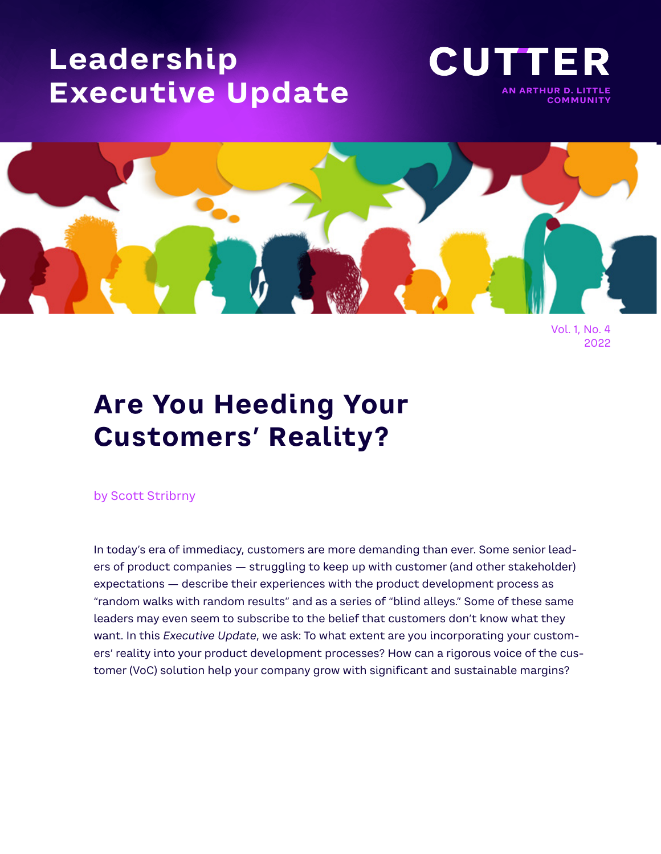# **Leadership Executive Update**





Vol. 1, No. 4 2022

## **Are You Heeding Your Customers' Reality?**

by Scott Stribrny

In today's era of immediacy, customers are more demanding than ever. Some senior leaders of product companies — struggling to keep up with customer (and other stakeholder) expectations — describe their experiences with the product development process as "random walks with random results" and as a series of "blind alleys." Some of these same leaders may even seem to subscribe to the belief that customers don't know what they want. In this *Executive Update*, we ask: To what extent are you incorporating your customers' reality into your product development processes? How can a rigorous voice of the customer (VoC) solution help your company grow with significant and sustainable margins?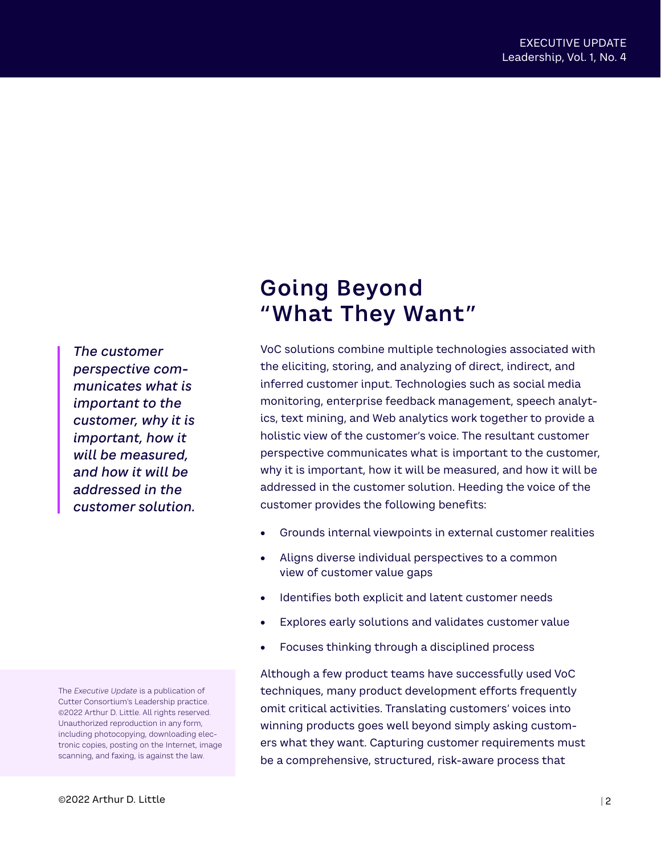*The customer perspective communicates what is important to the customer, why it is important, how it will be measured, and how it will be addressed in the customer solution.* 

The *Executive Update* is a publication of Cutter Consortium's Leadership practice. ©2022 Arthur D. Little. All rights reserved. Unauthorized reproduction in any form, including photocopying, downloading electronic copies, posting on the Internet, image scanning, and faxing, is against the law.

### **Going Beyond "What They Want"**

VoC solutions combine multiple technologies associated with the eliciting, storing, and analyzing of direct, indirect, and inferred customer input. Technologies such as social media monitoring, enterprise feedback management, speech analytics, text mining, and Web analytics work together to provide a holistic view of the customer's voice. The resultant customer perspective communicates what is important to the customer, why it is important, how it will be measured, and how it will be addressed in the customer solution. Heeding the voice of the customer provides the following benefits:

- Grounds internal viewpoints in external customer realities
- Aligns diverse individual perspectives to a common view of customer value gaps
- Identifies both explicit and latent customer needs
- Explores early solutions and validates customer value
- Focuses thinking through a disciplined process

Although a few product teams have successfully used VoC techniques, many product development efforts frequently omit critical activities. Translating customers' voices into winning products goes well beyond simply asking customers what they want. Capturing customer requirements must be a comprehensive, structured, risk-aware process that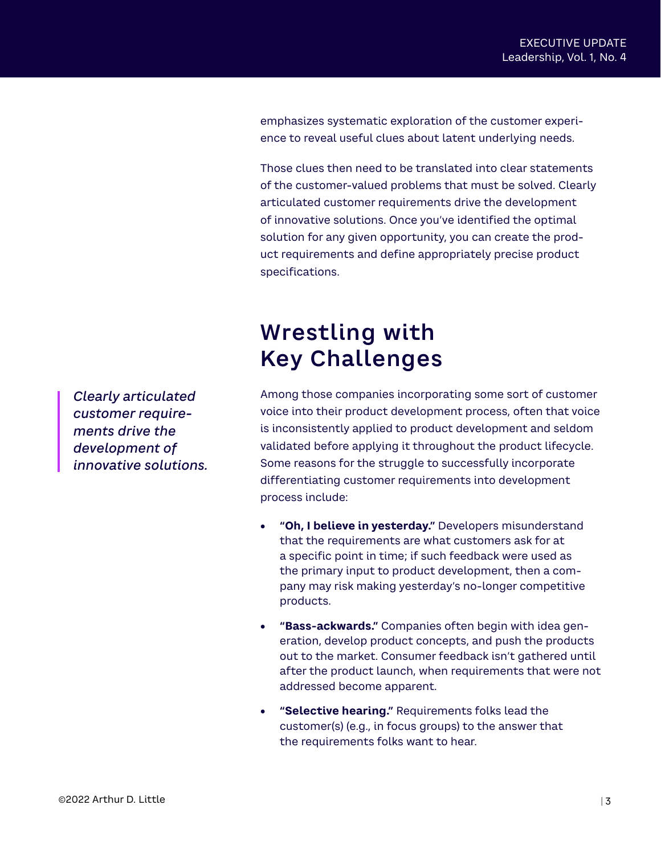emphasizes systematic exploration of the customer experience to reveal useful clues about latent underlying needs.

Those clues then need to be translated into clear statements of the customer-valued problems that must be solved. Clearly articulated customer requirements drive the development of innovative solutions. Once you've identified the optimal solution for any given opportunity, you can create the product requirements and define appropriately precise product specifications.

### **Wrestling with Key Challenges**

Among those companies incorporating some sort of customer voice into their product development process, often that voice is inconsistently applied to product development and seldom validated before applying it throughout the product lifecycle. Some reasons for the struggle to successfully incorporate differentiating customer requirements into development process include:

- **"Oh, I believe in yesterday."** Developers misunderstand that the requirements are what customers ask for at a specific point in time; if such feedback were used as the primary input to product development, then a company may risk making yesterday's no-longer competitive products.
- **"Bass-ackwards."** Companies often begin with idea generation, develop product concepts, and push the products out to the market. Consumer feedback isn't gathered until after the product launch, when requirements that were not addressed become apparent.
- **"Selective hearing."** Requirements folks lead the customer(s) (e.g., in focus groups) to the answer that the requirements folks want to hear.

*Clearly articulated customer requirements drive the development of innovative solutions.*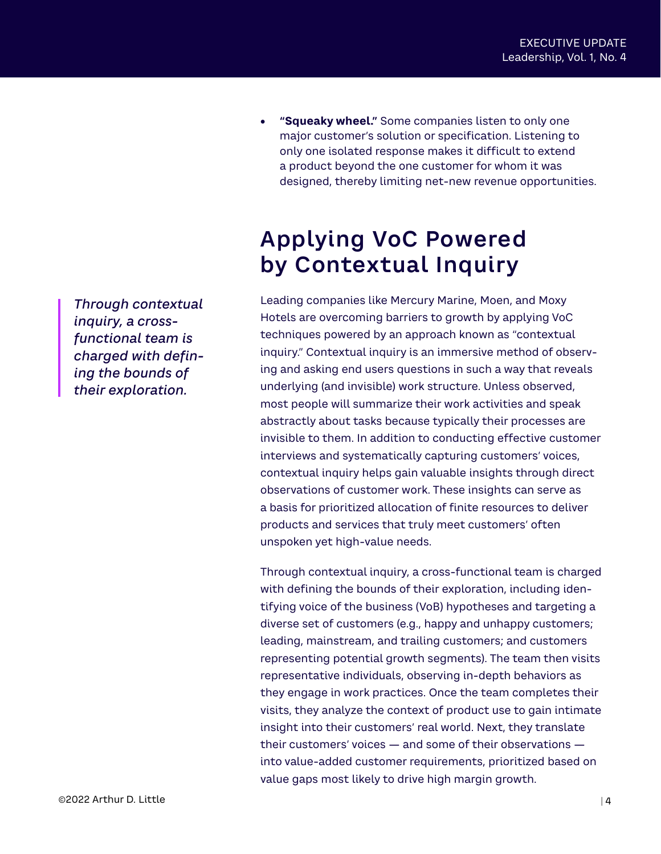• **"Squeaky wheel."** Some companies listen to only one major customer's solution or specification. Listening to only one isolated response makes it difficult to extend a product beyond the one customer for whom it was designed, thereby limiting net-new revenue opportunities.

## **Applying VoC Powered by Contextual Inquiry**

Leading companies like Mercury Marine, Moen, and Moxy Hotels are overcoming barriers to growth by applying VoC techniques powered by an approach known as "contextual inquiry." Contextual inquiry is an immersive method of observing and asking end users questions in such a way that reveals underlying (and invisible) work structure. Unless observed, most people will summarize their work activities and speak abstractly about tasks because typically their processes are invisible to them. In addition to conducting effective customer interviews and systematically capturing customers' voices, contextual inquiry helps gain valuable insights through direct observations of customer work. These insights can serve as a basis for prioritized allocation of finite resources to deliver products and services that truly meet customers' often unspoken yet high-value needs.

Through contextual inquiry, a cross-functional team is charged with defining the bounds of their exploration, including identifying voice of the business (VoB) hypotheses and targeting a diverse set of customers (e.g., happy and unhappy customers; leading, mainstream, and trailing customers; and customers representing potential growth segments). The team then visits representative individuals, observing in-depth behaviors as they engage in work practices. Once the team completes their visits, they analyze the context of product use to gain intimate insight into their customers' real world. Next, they translate their customers' voices — and some of their observations into value-added customer requirements, prioritized based on value gaps most likely to drive high margin growth.

*Through contextual inquiry, a crossfunctional team is charged with defining the bounds of their exploration.*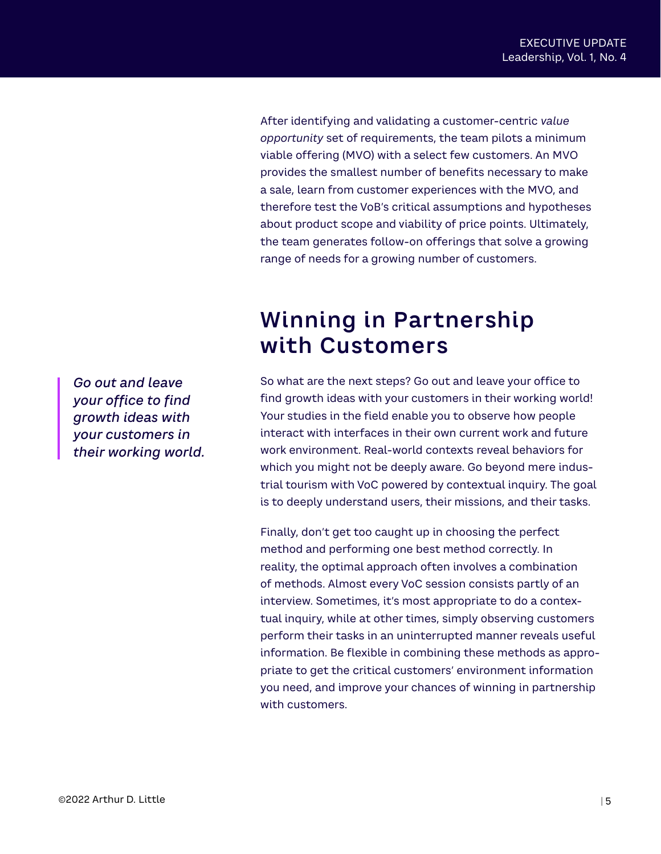After identifying and validating a customer-centric *value opportunity* set of requirements, the team pilots a minimum viable offering (MVO) with a select few customers. An MVO provides the smallest number of benefits necessary to make a sale, learn from customer experiences with the MVO, and therefore test the VoB's critical assumptions and hypotheses about product scope and viability of price points. Ultimately, the team generates follow-on offerings that solve a growing range of needs for a growing number of customers.

#### **Winning in Partnership with Customers**

So what are the next steps? Go out and leave your office to find growth ideas with your customers in their working world! Your studies in the field enable you to observe how people interact with interfaces in their own current work and future work environment. Real-world contexts reveal behaviors for which you might not be deeply aware. Go beyond mere industrial tourism with VoC powered by contextual inquiry. The goal is to deeply understand users, their missions, and their tasks.

Finally, don't get too caught up in choosing the perfect method and performing one best method correctly. In reality, the optimal approach often involves a combination of methods. Almost every VoC session consists partly of an interview. Sometimes, it's most appropriate to do a contextual inquiry, while at other times, simply observing customers perform their tasks in an uninterrupted manner reveals useful information. Be flexible in combining these methods as appropriate to get the critical customers' environment information you need, and improve your chances of winning in partnership with customers.

*Go out and leave your office to find growth ideas with your customers in their working world.*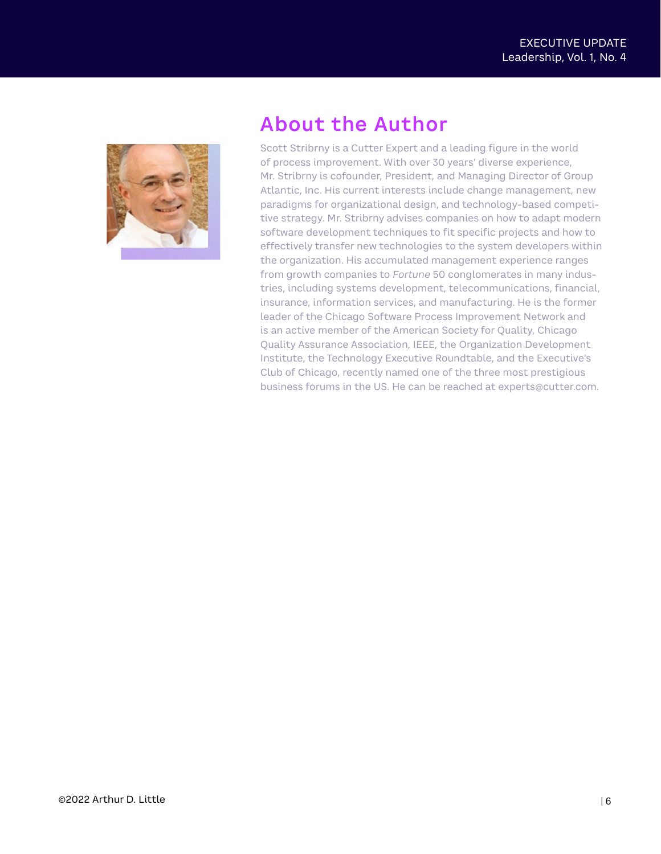

#### **About the Author**

Scott Stribrny is a Cutter Expert and a leading figure in the world of process improvement. With over 30 years' diverse experience, Mr. Stribrny is cofounder, President, and Managing Director of Group Atlantic, Inc. His current interests include change management, new paradigms for organizational design, and technology-based competitive strategy. Mr. Stribrny advises companies on how to adapt modern software development techniques to fit specific projects and how to effectively transfer new technologies to the system developers within the organization. His accumulated management experience ranges from growth companies to *Fortune* 50 conglomerates in many industries, including systems development, telecommunications, financial, insurance, information services, and manufacturing. He is the former leader of the Chicago Software Process Improvement Network and is an active member of the American Society for Quality, Chicago Quality Assurance Association, IEEE, the Organization Development Institute, the Technology Executive Roundtable, and the Executive's Club of Chicago, recently named one of the three most prestigious business forums in the US. He can be reached at [experts@cutter.com.](mailto:experts@cutter.com?subject=contacting%20Scott%20Stribrny)